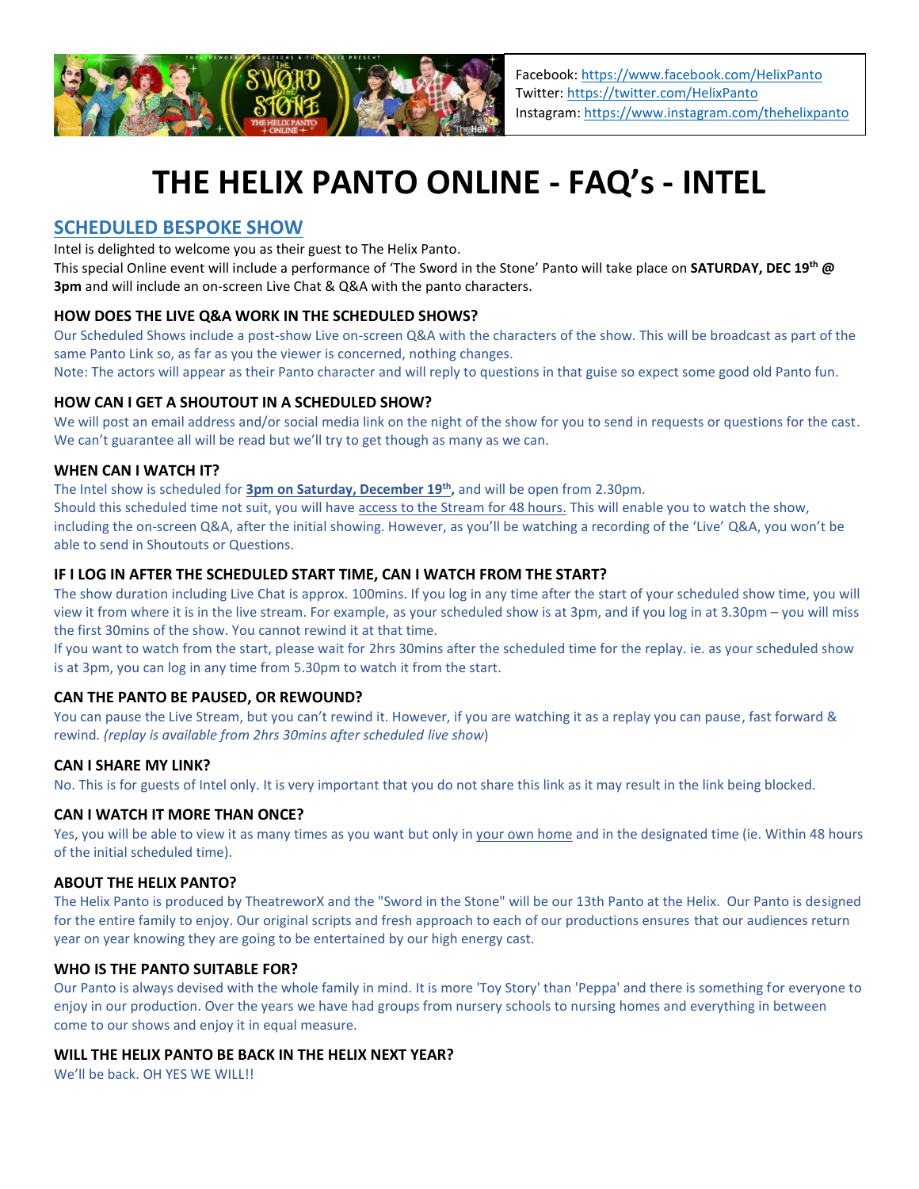

# **THE HELIX PANTO ONLINE - FAQ's - INTEL**

## **SCHEDULED BESPOKE SHOW**

Intel is delighted to welcome you as their guest to The Helix Panto.

This special Online event will include a performance of 'The Sword in the Stone' Panto will take place on **SATURDAY, DEC 19th @ 3pm** and will include an on-screen Live Chat & Q&A with the panto characters.

## **HOW DOES THE LIVE Q&A WORK IN THE SCHEDULED SHOWS?**

Our Scheduled Shows include a post-show Live on-screen Q&A with the characters of the show. This will be broadcast as part of the same Panto Link so, as far as you the viewer is concerned, nothing changes.

Note: The actors will appear as their Panto character and will reply to questions in that guise so expect some good old Panto fun.

#### **HOW CAN I GET A SHOUTOUT IN A SCHEDULED SHOW?**

We will post an email address and/or social media link on the night of the show for you to send in requests or questions for the cast. We can't guarantee all will be read but we'll try to get though as many as we can.

## **WHEN CAN I WATCH IT?**

The Intel show is scheduled for **3pm on Saturday, December 19th ,** and will be open from 2.30pm.

Should this scheduled time not suit, you will have access to the Stream for 48 hours. This will enable you to watch the show, including the on-screen Q&A, after the initial showing. However, as you'll be watching a recording of the 'Live' Q&A, you won't be able to send in Shoutouts or Questions.

#### **IF I LOG IN AFTER THE SCHEDULED START TIME, CAN I WATCH FROM THE START?**

The show duration including Live Chat is approx. 100mins. If you log in any time after the start of your scheduled show time, you will view it from where it is in the live stream. For example, as your scheduled show is at 3pm, and if you log in at 3.30pm – you will miss the first 30mins of the show. You cannot rewind it at that time.

If you want to watch from the start, please wait for 2hrs 30mins after the scheduled time for the replay. ie. as your scheduled show is at 3pm, you can log in any time from 5.30pm to watch it from the start.

## **CAN THE PANTO BE PAUSED, OR REWOUND?**

You can pause the Live Stream, but you can't rewind it. However, if you are watching it as a replay you can pause, fast forward & rewind*. (replay is available from 2hrs 30mins after scheduled live show*)

#### **CAN I SHARE MY LINK?**

No. This is for guests of Intel only. It is very important that you do not share this link as it may result in the link being blocked.

#### **CAN I WATCH IT MORE THAN ONCE?**

Yes, you will be able to view it as many times as you want but only in your own home and in the designated time (ie. Within 48 hours of the initial scheduled time).

#### **ABOUT THE HELIX PANTO?**

The Helix Panto is produced by TheatreworX and the "Sword in the Stone" will be our 13th Panto at the Helix. Our Panto is designed for the entire family to enjoy. Our original scripts and fresh approach to each of our productions ensures that our audiences return year on year knowing they are going to be entertained by our high energy cast.

#### **WHO IS THE PANTO SUITABLE FOR?**

Our Panto is always devised with the whole family in mind. It is more 'Toy Story' than 'Peppa' and there is something for everyone to enjoy in our production. Over the years we have had groups from nursery schools to nursing homes and everything in between come to our shows and enjoy it in equal measure.

#### **WILL THE HELIX PANTO BE BACK IN THE HELIX NEXT YEAR?**

We'll be back. OH YES WE WILL!!